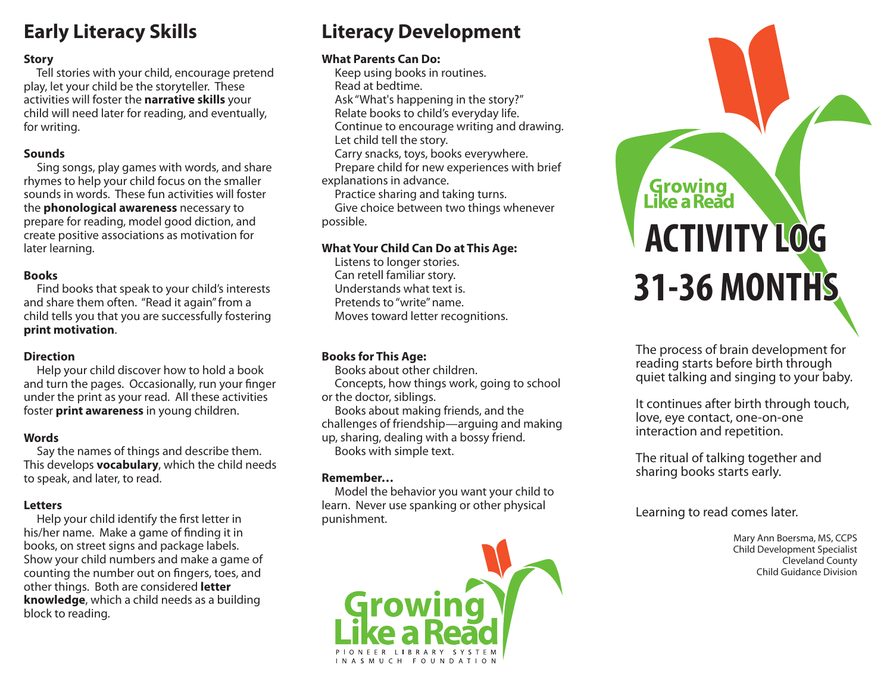## **Early Literacy Skills**

## **Story**

 Tell stories with your child, encourage pretend play, let your child be the storyteller. These activities will foster the **narrative skills** your child will need later for reading, and eventually, for writing.

#### **Sounds**

 Sing songs, play games with words, and share rhymes to help your child focus on the smaller sounds in words. These fun activities will foster the **phonological awareness** necessary to prepare for reading, model good diction, and create positive associations as motivation for later learning.

## **Books**

 Find books that speak to your child's interests and share them often. "Read it again" from a child tells you that you are successfully fostering **print motivation**.

## **Direction**

 Help your child discover how to hold a book and turn the pages. Occasionally, run your finger under the print as your read. All these activities foster **print awareness** in young children.

## **Words**

 Say the names of things and describe them. This develops **vocabulary**, which the child needs to speak, and later, to read.

## **Letters**

Help your child identify the first letter in his/her name. Make a game of finding it in books, on street signs and package labels. Show your child numbers and make a game of counting the number out on fingers, toes, and other things. Both are considered **letter knowledge**, which a child needs as a building block to reading.

## **Literacy Development**

## **What Parents Can Do:**

 Keep using books in routines. Read at bedtime. Ask "What's happening in the story?" Relate books to child's everyday life. Continue to encourage writing and drawing. Let child tell the story. Carry snacks, toys, books everywhere. Prepare child for new experiences with brief explanations in advance.

Practice sharing and taking turns.

 Give choice between two things whenever possible.

## **What Your Child Can Do at This Age:**

 Listens to longer stories. Can retell familiar story. Understands what text is. Pretends to "write" name. Moves toward letter recognitions.

## **Books for This Age:**

 Books about other children. Concepts, how things work, going to school or the doctor, siblings.

 Books about making friends, and the challenges of friendship—arguing and making up, sharing, dealing with a bossy friend. Books with simple text.

## **Remember…**

 Model the behavior you want your child to learn. Never use spanking or other physical punishment.



# **Growing**<br>Like a Read **ACTIVITY LOG 31-36 MONTHS**

The process of brain development for reading starts before birth through quiet talking and singing to your baby.

It continues after birth through touch, love, eye contact, one-on-one interaction and repetition.

The ritual of talking together and sharing books starts early.

Learning to read comes later.

Mary Ann Boersma, MS, CCPS Child Development Specialist Cleveland County Child Guidance Division